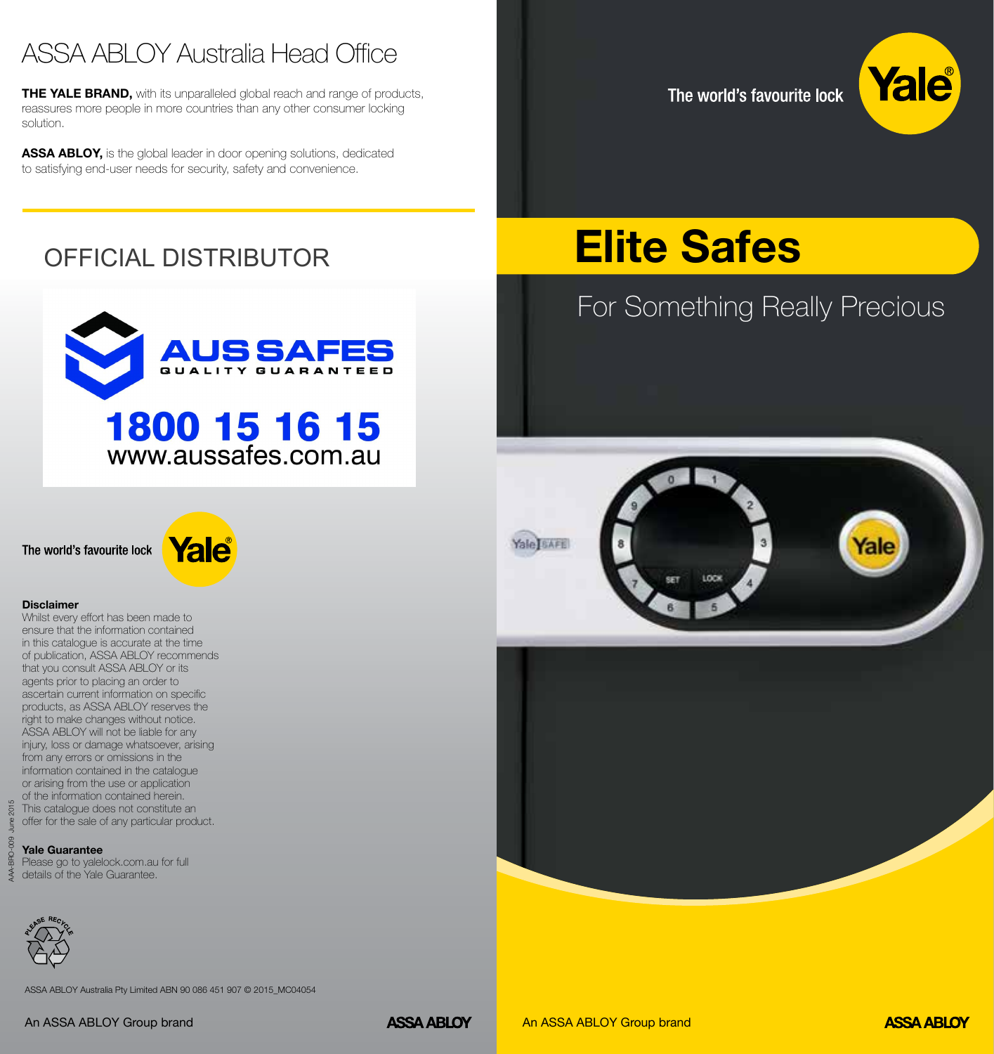# ASSA ABLOY Australia Head Office

THE YALE BRAND, with its unparalleled global reach and range of products, reassures more people in more countries than any other consumer locking solution.

ASSA ABLOY, is the global leader in door opening solutions, dedicated to satisfying end-user needs for security, safety and convenience.

The world's favourite lock

For Something Really Precious

Elite Safes



*f*alo

# OFFICIAL DISTRIBUTOR



The world's favourite lock



#### **Disclaimer**

Whilst every effort has been made to ensure that the information contained in this catalogue is accurate at the time of publication, ASSA ABLOY recommends that you consult ASSA ABLOY or its agents prior to placing an order to ascertain current information on specific products, as ASSA ABLOY reserves the right to make changes without notice. ASSA ABLOY will not be liable for any injury, loss or damage whatsoever, arising from any errors or omissions in the information contained in the catalogue or arising from the use or application of the information contained herein. This catalogue does not constitute an offer for the sale of any particular product.

#### **Yale Guarantee**

Please go to yalelock.com.au for full details of the Yale Guarantee.



ASSA ABLOY Australia Pty Limited ABN 90 086 451 907 © 2015\_MC04054



**Yale BAFE**